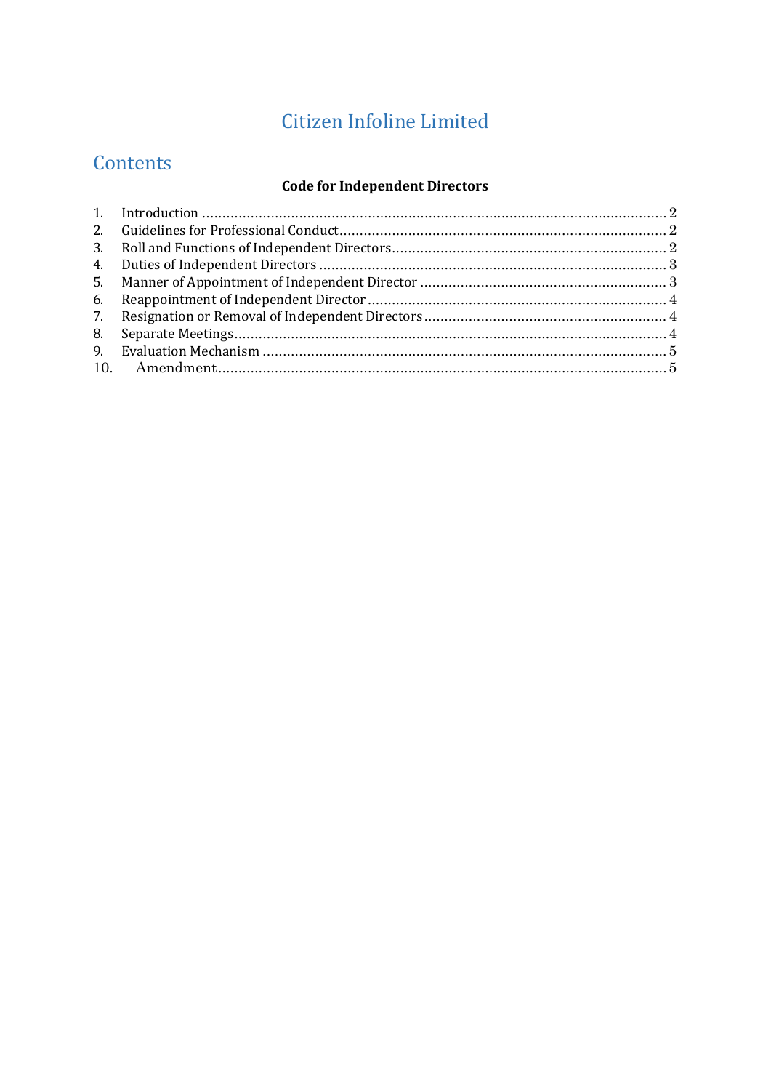# **Citizen Infoline Limited**

# Contents

#### **Code for Independent Directors**

| 8. |  |
|----|--|
| 9. |  |
|    |  |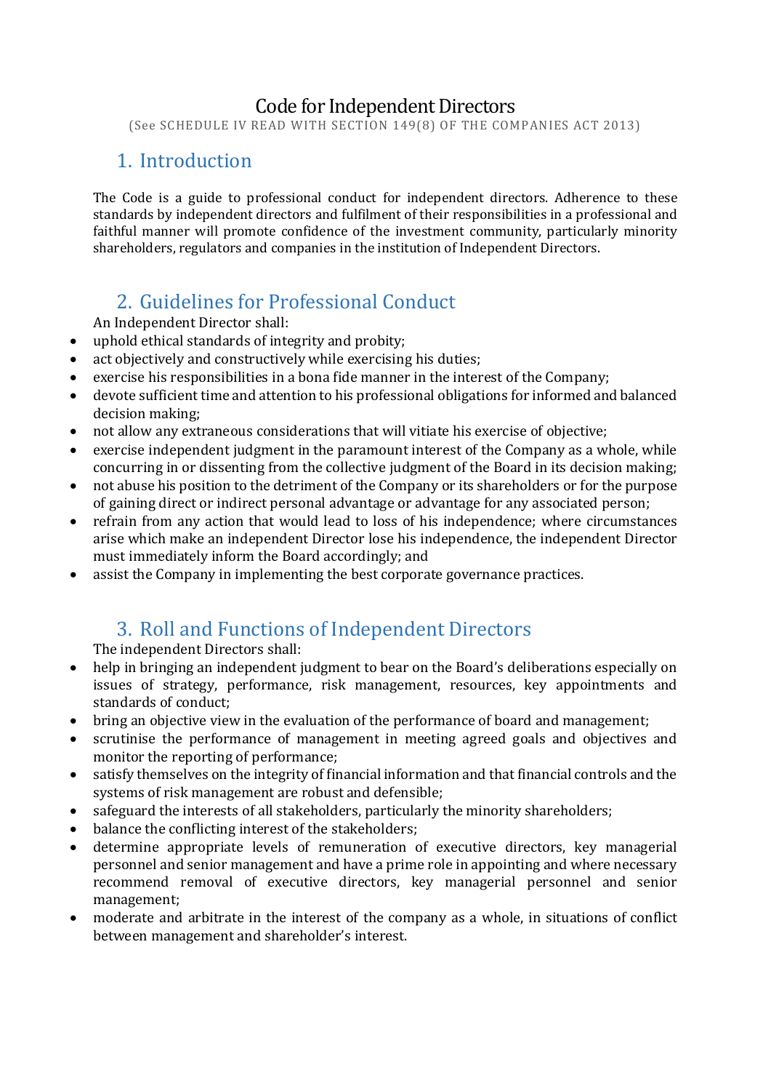#### Code for Independent Directors

(See SCHEDULE IV READ WITH SECTION 149(8) OF THE COMPANIES ACT 2013)

#### <span id="page-1-0"></span>1. Introduction

The Code is a guide to professional conduct for independent directors. Adherence to these standards by independent directors and fulfilment of their responsibilities in a professional and faithful manner will promote confidence of the investment community, particularly minority shareholders, regulators and companies in the institution of Independent Directors.

## <span id="page-1-1"></span>2. Guidelines for Professional Conduct

An Independent Director shall:

- uphold ethical standards of integrity and probity;
- act objectively and constructively while exercising his duties;
- exercise his responsibilities in a bona fide manner in the interest of the Company;
- devote sufficient time and attention to his professional obligations for informed and balanced decision making;
- not allow any extraneous considerations that will vitiate his exercise of objective;
- exercise independent judgment in the paramount interest of the Company as a whole, while concurring in or dissenting from the collective judgment of the Board in its decision making;
- not abuse his position to the detriment of the Company or its shareholders or for the purpose of gaining direct or indirect personal advantage or advantage for any associated person;
- refrain from any action that would lead to loss of his independence; where circumstances arise which make an independent Director lose his independence, the independent Director must immediately inform the Board accordingly; and
- assist the Company in implementing the best corporate governance practices.

### 3. Roll and Functions of Independent Directors

<span id="page-1-2"></span>The independent Directors shall:

- help in bringing an independent judgment to bear on the Board's deliberations especially on issues of strategy, performance, risk management, resources, key appointments and standards of conduct;
- bring an objective view in the evaluation of the performance of board and management;
- scrutinise the performance of management in meeting agreed goals and objectives and monitor the reporting of performance;
- satisfy themselves on the integrity of financial information and that financial controls and the systems of risk management are robust and defensible;
- safeguard the interests of all stakeholders, particularly the minority shareholders;
- balance the conflicting interest of the stakeholders;
- determine appropriate levels of remuneration of executive directors, key managerial personnel and senior management and have a prime role in appointing and where necessary recommend removal of executive directors, key managerial personnel and senior management;
- moderate and arbitrate in the interest of the company as a whole, in situations of conflict between management and shareholder's interest.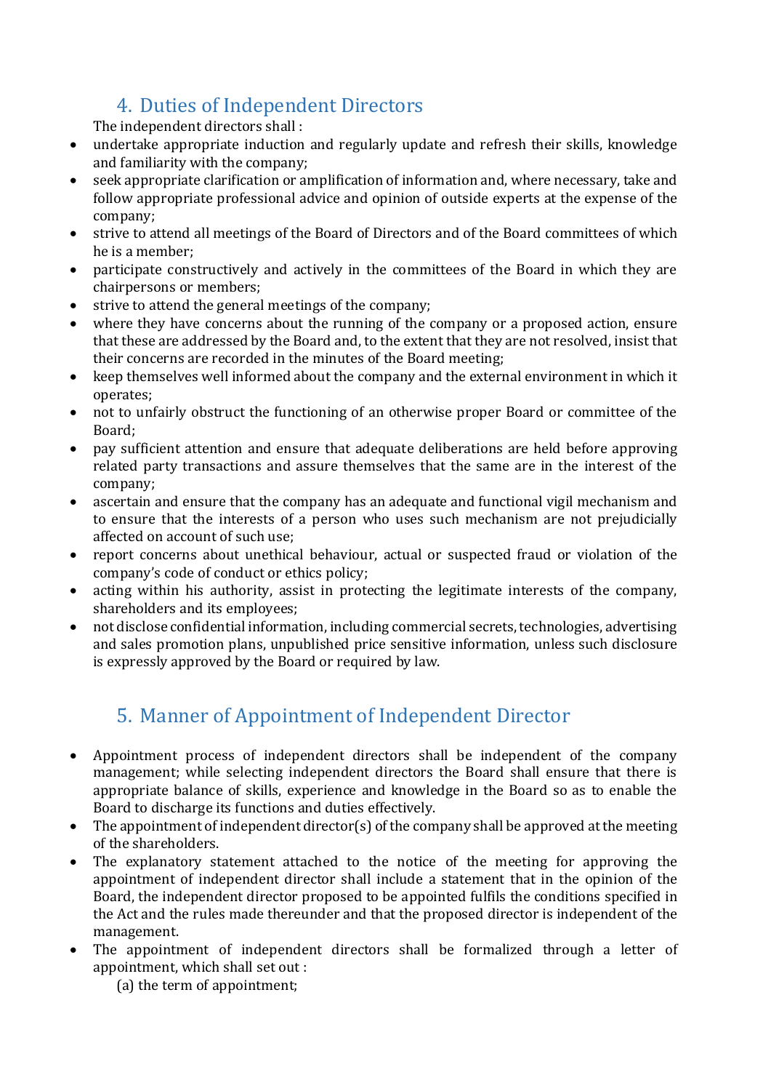# 4. Duties of Independent Directors

<span id="page-2-0"></span>The independent directors shall :

- undertake appropriate induction and regularly update and refresh their skills, knowledge and familiarity with the company;
- seek appropriate clarification or amplification of information and, where necessary, take and follow appropriate professional advice and opinion of outside experts at the expense of the company;
- strive to attend all meetings of the Board of Directors and of the Board committees of which he is a member;
- participate constructively and actively in the committees of the Board in which they are chairpersons or members;
- strive to attend the general meetings of the company;
- where they have concerns about the running of the company or a proposed action, ensure that these are addressed by the Board and, to the extent that they are not resolved, insist that their concerns are recorded in the minutes of the Board meeting;
- keep themselves well informed about the company and the external environment in which it operates;
- not to unfairly obstruct the functioning of an otherwise proper Board or committee of the Board;
- pay sufficient attention and ensure that adequate deliberations are held before approving related party transactions and assure themselves that the same are in the interest of the company;
- ascertain and ensure that the company has an adequate and functional vigil mechanism and to ensure that the interests of a person who uses such mechanism are not prejudicially affected on account of such use;
- report concerns about unethical behaviour, actual or suspected fraud or violation of the company's code of conduct or ethics policy;
- acting within his authority, assist in protecting the legitimate interests of the company, shareholders and its employees;
- not disclose confidential information, including commercial secrets, technologies, advertising and sales promotion plans, unpublished price sensitive information, unless such disclosure is expressly approved by the Board or required by law.

# <span id="page-2-1"></span>5. Manner of Appointment of Independent Director

- Appointment process of independent directors shall be independent of the company management; while selecting independent directors the Board shall ensure that there is appropriate balance of skills, experience and knowledge in the Board so as to enable the Board to discharge its functions and duties effectively.
- The appointment of independent director(s) of the company shall be approved at the meeting of the shareholders.
- The explanatory statement attached to the notice of the meeting for approving the appointment of independent director shall include a statement that in the opinion of the Board, the independent director proposed to be appointed fulfils the conditions specified in the Act and the rules made thereunder and that the proposed director is independent of the management.
- The appointment of independent directors shall be formalized through a letter of appointment, which shall set out :

(a) the term of appointment;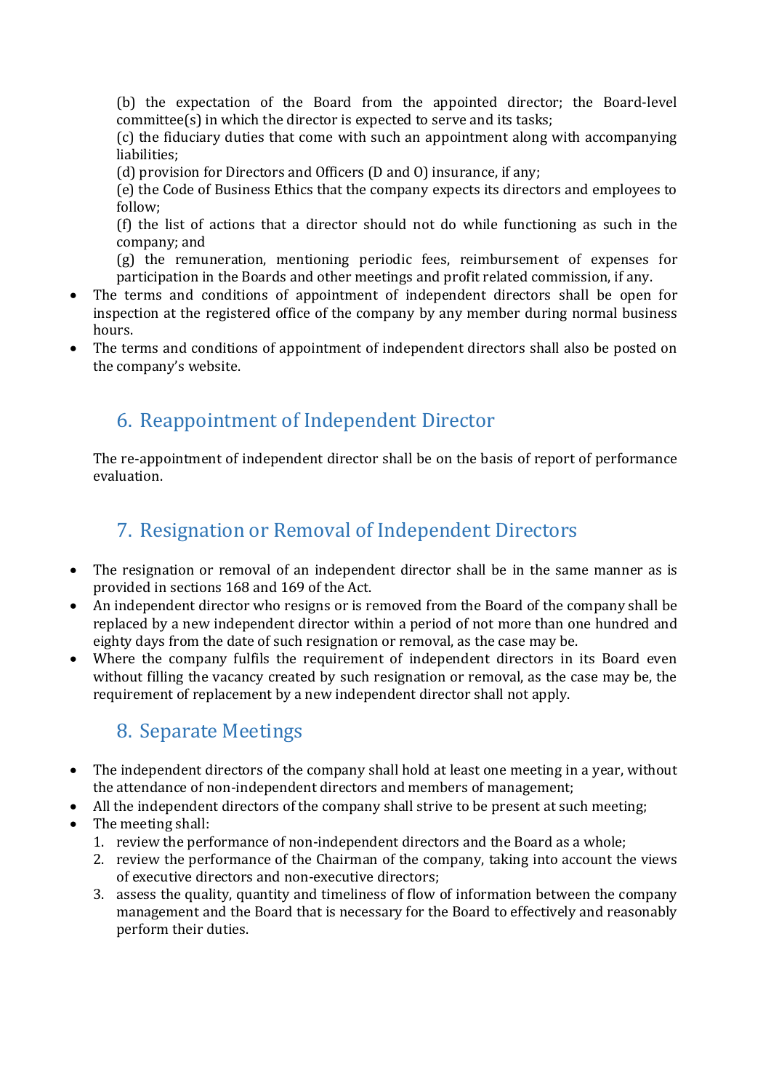(b) the expectation of the Board from the appointed director; the Board-level committee(s) in which the director is expected to serve and its tasks;

(c) the fiduciary duties that come with such an appointment along with accompanying liabilities;

(d) provision for Directors and Officers (D and O) insurance, if any;

(e) the Code of Business Ethics that the company expects its directors and employees to follow;

(f) the list of actions that a director should not do while functioning as such in the company; and

(g) the remuneration, mentioning periodic fees, reimbursement of expenses for participation in the Boards and other meetings and profit related commission, if any.

- The terms and conditions of appointment of independent directors shall be open for inspection at the registered office of the company by any member during normal business hours.
- The terms and conditions of appointment of independent directors shall also be posted on the company's website.

## <span id="page-3-0"></span>6. Reappointment of Independent Director

The re-appointment of independent director shall be on the basis of report of performance evaluation.

#### <span id="page-3-1"></span>7. Resignation or Removal of Independent Directors

- The resignation or removal of an independent director shall be in the same manner as is provided in sections 168 and 169 of the Act.
- An independent director who resigns or is removed from the Board of the company shall be replaced by a new independent director within a period of not more than one hundred and eighty days from the date of such resignation or removal, as the case may be.
- Where the company fulfils the requirement of independent directors in its Board even without filling the vacancy created by such resignation or removal, as the case may be, the requirement of replacement by a new independent director shall not apply.

### <span id="page-3-2"></span>8. Separate Meetings

- The independent directors of the company shall hold at least one meeting in a year, without the attendance of non-independent directors and members of management;
- All the independent directors of the company shall strive to be present at such meeting;
- The meeting shall:
	- 1. review the performance of non-independent directors and the Board as a whole;
	- 2. review the performance of the Chairman of the company, taking into account the views of executive directors and non-executive directors;
	- 3. assess the quality, quantity and timeliness of flow of information between the company management and the Board that is necessary for the Board to effectively and reasonably perform their duties.